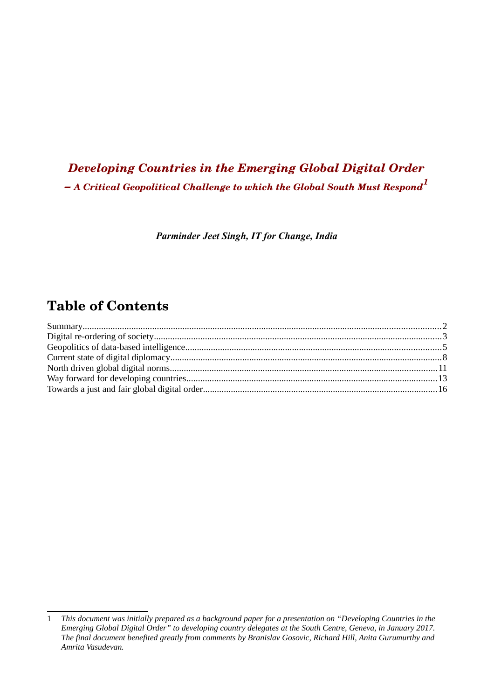# *Developing Countries in the Emerging Global Digital Order – A Critical Geopolitical Challenge to which the Global South Must Respond[1](#page-0-0)*

*Parminder Jeet Singh, IT for Change, India*

## **Table of Contents**

<span id="page-0-0"></span><sup>1</sup> *This document was initially prepared as a background paper for a presentation on "Developing Countries in the Emerging Global Digital Order" to developing country delegates at the South Centre, Geneva, in January 2017. The final document benefited greatly from comments by Branislav Gosovic, Richard Hill, Anita Gurumurthy and Amrita Vasudevan.*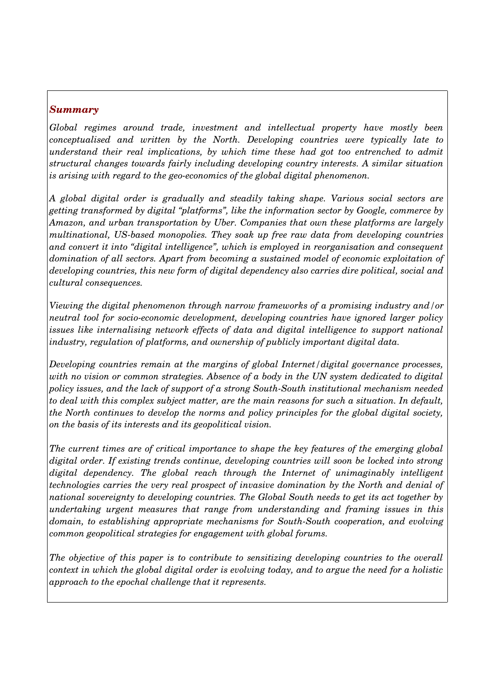#### <span id="page-1-0"></span>*Summary*

*Global regimes around trade, investment and intellectual property have mostly been conceptualised and written by the North. Developing countries were typically late to understand their real implications, by which time these had got too entrenched to admit structural changes towards fairly including developing country interests. A similar situation is arising with regard to the geo-economics of the global digital phenomenon.* 

*A global digital order is gradually and steadily taking shape. Various social sectors are getting transformed by digital "platforms", like the information sector by Google, commerce by Amazon, and urban transportation by Uber. Companies that own these platforms are largely multinational, USbased monopolies. They soak up free raw data from developing countries and convert it into "digital intelligence", which is employed in reorganisation and consequent domination of all sectors. Apart from becoming a sustained model of economic exploitation of developing countries, this new form of digital dependency also carries dire political, social and cultural consequences.* 

*Viewing the digital phenomenon through narrow frameworks of a promising industry and/or neutral tool for socio-economic development, developing countries have ignored larger policy issues like internalising network effects of data and digital intelligence to support national industry, regulation of platforms, and ownership of publicly important digital data.*

*Developing countries remain at the margins of global Internet/digital governance processes, with no vision or common strategies. Absence of a body in the UN system dedicated to digital* policy issues, and the lack of support of a strong South-South institutional mechanism needed *to deal with this complex subject matter, are the main reasons for such a situation. In default, the North continues to develop the norms and policy principles for the global digital society, on the basis of its interests and its geopolitical vision.*

*The current times are of critical importance to shape the key features of the emerging global digital order. If existing trends continue, developing countries will soon be locked into strong digital dependency. The global reach through the Internet of unimaginably intelligent technologies carries the very real prospect of invasive domination by the North and denial of national sovereignty to developing countries. The Global South needs to get its act together by undertaking urgent measures that range from understanding and framing issues in this domain, to establishing appropriate mechanisms for South-South cooperation, and evolving common geopolitical strategies for engagement with global forums.*

*The objective of this paper is to contribute to sensitizing developing countries to the overall context in which the global digital order is evolving today, and to argue the need for a holistic approach to the epochal challenge that it represents.*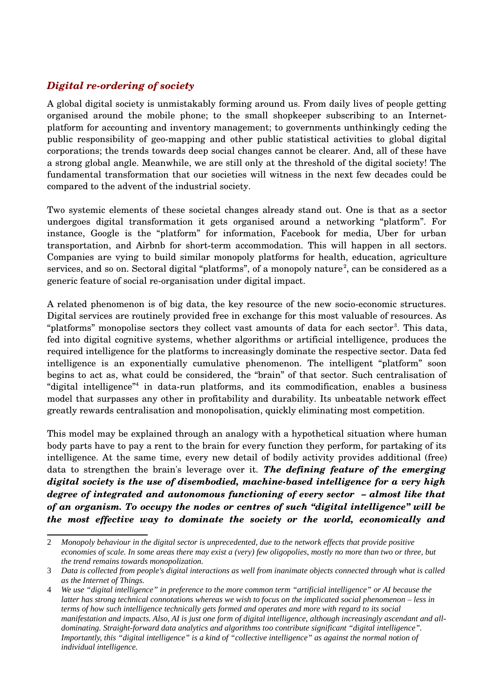## <span id="page-2-0"></span>*Digital re-ordering of society*

A global digital society is unmistakably forming around us. From daily lives of people getting organised around the mobile phone; to the small shopkeeper subscribing to an Internetplatform for accounting and inventory management; to governments unthinkingly ceding the public responsibility of geomapping and other public statistical activities to global digital corporations; the trends towards deep social changes cannot be clearer. And, all of these have a strong global angle. Meanwhile, we are still only at the threshold of the digital society! The fundamental transformation that our societies will witness in the next few decades could be compared to the advent of the industrial society.

Two systemic elements of these societal changes already stand out. One is that as a sector undergoes digital transformation it gets organised around a networking "platform". For instance, Google is the "platform" for information, Facebook for media, Uber for urban transportation, and Airbnb for short-term accommodation. This will happen in all sectors. Companies are vying to build similar monopoly platforms for health, education, agriculture services, and so on. Sectoral digital "platforms", of a monopoly nature<sup>[2](#page-2-1)</sup>, can be considered as a generic feature of social re-organisation under digital impact.

A related phenomenon is of big data, the key resource of the new socioeconomic structures. Digital services are routinely provided free in exchange for this most valuable of resources. As "platforms" monopolise sectors they collect vast amounts of data for each sector<sup>[3](#page-2-2)</sup>. This data, fed into digital cognitive systems, whether algorithms or artificial intelligence, produces the required intelligence for the platforms to increasingly dominate the respective sector. Data fed intelligence is an exponentially cumulative phenomenon. The intelligent "platform" soon begins to act as, what could be considered, the "brain" of that sector. Such centralisation of "digital intelligence"<sup>[4](#page-2-3)</sup> in data-run platforms, and its commodification, enables a business model that surpasses any other in profitability and durability. Its unbeatable network effect greatly rewards centralisation and monopolisation, quickly eliminating most competition.

This model may be explained through an analogy with a hypothetical situation where human body parts have to pay a rent to the brain for every function they perform, for partaking of its intelligence. At the same time, every new detail of bodily activity provides additional (free) data to strengthen the brain's leverage over it. *The defining feature of the emerging digital society is the use of disembodied, machinebased intelligence for a very high degree of integrated and autonomous functioning of every sector – almost like that of an organism. To occupy the nodes or centres of such "digital intelligence" will be the most effective way to dominate the society or the world, economically and*

<span id="page-2-1"></span><sup>2</sup> *Monopoly behaviour in the digital sector is unprecedented, due to the network effects that provide positive economies of scale. In some areas there may exist a (very) few oligopolies, mostly no more than two or three, but the trend remains towards monopolization.* 

<span id="page-2-2"></span><sup>3</sup> *Data is collected from people's digital interactions as well from inanimate objects connected through what is called as the Internet of Things.* 

<span id="page-2-3"></span><sup>4</sup> *We use "digital intelligence" in preference to the more common term "artificial intelligence" or AI because the latter has strong technical connotations whereas we wish to focus on the implicated social phenomenon – less in terms of how such intelligence technically gets formed and operates and more with regard to its social manifestation and impacts. Also, AI is just one form of digital intelligence, although increasingly ascendant and alldominating. Straight-forward data analytics and algorithms too contribute significant "digital intelligence". Importantly, this "digital intelligence" is a kind of "collective intelligence" as against the normal notion of individual intelligence.*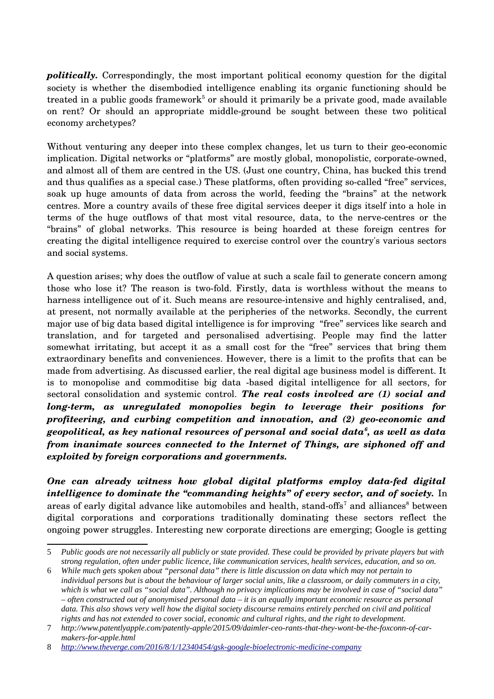*politically.* Correspondingly, the most important political economy question for the digital society is whether the disembodied intelligence enabling its organic functioning should be treated in a public goods framework<sup>[5](#page-3-0)</sup> or should it primarily be a private good, made available on rent? Or should an appropriate middle-ground be sought between these two political economy archetypes?

Without venturing any deeper into these complex changes, let us turn to their geo-economic implication. Digital networks or "platforms" are mostly global, monopolistic, corporate-owned, and almost all of them are centred in the US. (Just one country, China, has bucked this trend and thus qualifies as a special case.) These platforms, often providing so-called "free" services, soak up huge amounts of data from across the world, feeding the "brains" at the network centres. More a country avails of these free digital services deeper it digs itself into a hole in terms of the huge outflows of that most vital resource, data, to the nervecentres or the "brains" of global networks. This resource is being hoarded at these foreign centres for creating the digital intelligence required to exercise control over the country's various sectors and social systems.

A question arises; why does the outflow of value at such a scale fail to generate concern among those who lose it? The reason is two-fold. Firstly, data is worthless without the means to harness intelligence out of it. Such means are resource-intensive and highly centralised, and, at present, not normally available at the peripheries of the networks. Secondly, the current major use of big data based digital intelligence is for improving "free" services like search and translation, and for targeted and personalised advertising. People may find the latter somewhat irritating, but accept it as a small cost for the "free" services that bring them extraordinary benefits and conveniences. However, there is a limit to the profits that can be made from advertising. As discussed earlier, the real digital age business model is different. It is to monopolise and commoditise big data -based digital intelligence for all sectors, for sectoral consolidation and systemic control. *The real costs involved are (1) social and long-term, as unregulated monopolies begin to leverage their positions for profiteering, and curbing competition and innovation, and (2) geo-economic and geopolitical, as key national resources of personal and social data[6](#page-3-1) , as well as data from inanimate sources connected to the Internet of Things, are siphoned off and exploited by foreign corporations and governments.* 

*One can already witness how global digital platforms employ datafed digital intelligence to dominate the "commanding heights" of every sector, and of society.* In areas of early digital advance like automobiles and health, stand-offs<sup>[7](#page-3-2)</sup> and alliances<sup>[8](#page-3-3)</sup> between digital corporations and corporations traditionally dominating these sectors reflect the ongoing power struggles. Interesting new corporate directions are emerging; Google is getting

<span id="page-3-0"></span><sup>5</sup> *Public goods are not necessarily all publicly or state provided. These could be provided by private players but with strong regulation, often under public licence, like communication services, health services, education, and so on.* 

<span id="page-3-1"></span><sup>6</sup> *While much gets spoken about "personal data" there is little discussion on data which may not pertain to individual persons but is about the behaviour of larger social units, like a classroom, or daily commuters in a city, which is what we call as "social data". Although no privacy implications may be involved in case of "social data" – often constructed out of anonymised personal data – it is an equally important economic resource as personal*  data. This also shows very well how the digital society discourse remains entirely perched on civil and political *rights and has not extended to cover social, economic and cultural rights, and the right to development.* 

<span id="page-3-2"></span><sup>7</sup> *http://www.patentlyapple.com/patently-apple/2015/09/daimler-ceo-rants-that-they-wont-be-the-foxconn-of-carmakers-for-apple.html*

<span id="page-3-3"></span><sup>8</sup> *<http://www.theverge.com/2016/8/1/12340454/gsk-google-bioelectronic-medicine-company>*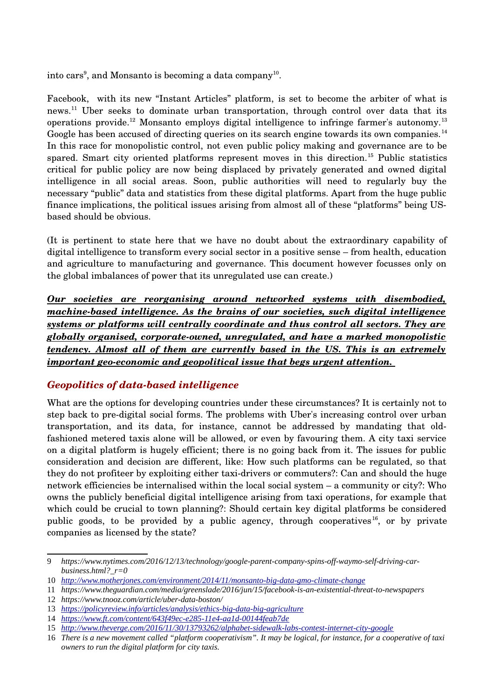$\rm{into}\; cars^9,$  $\rm{into}\; cars^9,$  $\rm{into}\; cars^9,$  and Monsanto is becoming a data company $^{10}.$  $^{10}.$  $^{10}.$ 

Facebook, with its new "Instant Articles" platform, is set to become the arbiter of what is news.<sup>[11](#page-4-3)</sup> Uber seeks to dominate urban transportation, through control over data that its operations provide.<sup>[12](#page-4-4)</sup> Monsanto employs digital intelligence to infringe farmer's autonomy.<sup>[13](#page-4-5)</sup> Google has been accused of directing queries on its search engine towards its own companies.<sup>[14](#page-4-6)</sup> In this race for monopolistic control, not even public policy making and governance are to be spared. Smart city oriented platforms represent moves in this direction.<sup>[15](#page-4-7)</sup> Public statistics critical for public policy are now being displaced by privately generated and owned digital intelligence in all social areas. Soon, public authorities will need to regularly buy the necessary "public" data and statistics from these digital platforms. Apart from the huge public finance implications, the political issues arising from almost all of these "platforms" being USbased should be obvious.

(It is pertinent to state here that we have no doubt about the extraordinary capability of digital intelligence to transform every social sector in a positive sense – from health, education and agriculture to manufacturing and governance. This document however focusses only on the global imbalances of power that its unregulated use can create.)

*Our societies are reorganising around networked systems with disembodied, machine-based intelligence. As the brains of our societies, such digital intelligence systems or platforms will centrally coordinate and thus control all sectors. They are* globally organised, corporate-owned, unregulated, and have a marked monopolistic *tendency. Almost all of them are currently based in the US. This is an extremely important geo-economic and geopolitical issue that begs urgent attention.* 

#### <span id="page-4-0"></span>*Geopolitics of databased intelligence*

What are the options for developing countries under these circumstances? It is certainly not to step back to predigital social forms. The problems with Uber's increasing control over urban transportation, and its data, for instance, cannot be addressed by mandating that oldfashioned metered taxis alone will be allowed, or even by favouring them. A city taxi service on a digital platform is hugely efficient; there is no going back from it. The issues for public consideration and decision are different, like: How such platforms can be regulated, so that they do not profiteer by exploiting either taxi-drivers or commuters?: Can and should the huge network efficiencies be internalised within the local social system – a community or city?: Who owns the publicly beneficial digital intelligence arising from taxi operations, for example that which could be crucial to town planning?: Should certain key digital platforms be considered public goods, to be provided by a public agency, through cooperatives<sup>[16](#page-4-8)</sup>, or by private companies as licensed by the state?

<span id="page-4-1"></span><sup>9</sup> *https://www.nytimes.com/2016/12/13/technology/google-parent-company-spins-off-waymo-self-driving-carbusiness.html?\_r=0*

<span id="page-4-2"></span><sup>10</sup> *<http://www.motherjones.com/environment/2014/11/monsanto-big-data-gmo-climate-change>*

<span id="page-4-3"></span><sup>11</sup> *https://www.theguardian.com/media/greenslade/2016/jun/15/facebook-is-an-existential-threat-to-newspapers*

<span id="page-4-4"></span><sup>12</sup> *https://www.tnooz.com/article/uber-data-boston/*

<span id="page-4-5"></span><sup>13</sup> *<https://policyreview.info/articles/analysis/ethics-big-data-big-agriculture>*

<span id="page-4-6"></span><sup>14</sup> *<https://www.ft.com/content/643f49ec-e285-11e4-aa1d-00144feab7de>*

<span id="page-4-7"></span><sup>15</sup> *<http://www.theverge.com/2016/11/30/13793262/alphabet-sidewalk-labs-contest-internet-city-google>*

<span id="page-4-8"></span><sup>16</sup> *There is a new movement called "platform cooperativism". It may be logical, for instance, for a cooperative of taxi owners to run the digital platform for city taxis.*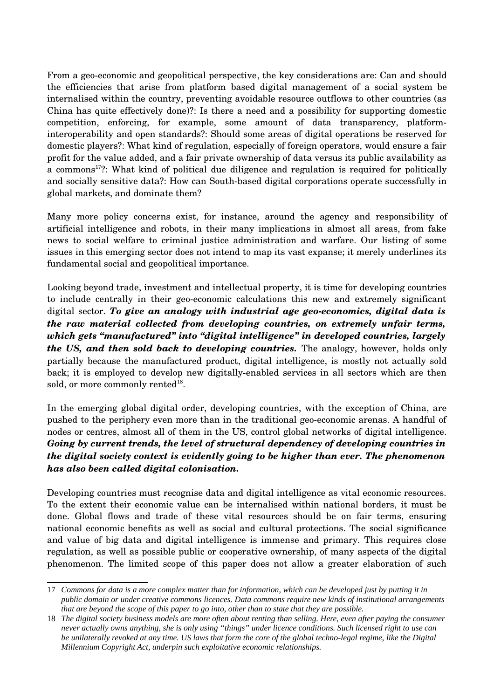From a geo-economic and geopolitical perspective, the key considerations are: Can and should the efficiencies that arise from platform based digital management of a social system be internalised within the country, preventing avoidable resource outflows to other countries (as China has quite effectively done)?: Is there a need and a possibility for supporting domestic competition, enforcing, for example, some amount of data transparency, platforminteroperability and open standards?: Should some areas of digital operations be reserved for domestic players?: What kind of regulation, especially of foreign operators, would ensure a fair profit for the value added, and a fair private ownership of data versus its public availability as a commons[17](#page-5-0)?: What kind of political due diligence and regulation is required for politically and socially sensitive data?: How can South-based digital corporations operate successfully in global markets, and dominate them?

Many more policy concerns exist, for instance, around the agency and responsibility of artificial intelligence and robots, in their many implications in almost all areas, from fake news to social welfare to criminal justice administration and warfare. Our listing of some issues in this emerging sector does not intend to map its vast expanse; it merely underlines its fundamental social and geopolitical importance.

Looking beyond trade, investment and intellectual property, it is time for developing countries to include centrally in their geo-economic calculations this new and extremely significant digital sector. *To give an analogy with industrial age geoeconomics, digital data is the raw material collected from developing countries, on extremely unfair terms, which gets "manufactured" into "digital intelligence" in developed countries, largely the US, and then sold back to developing countries.* The analogy, however, holds only partially because the manufactured product, digital intelligence, is mostly not actually sold back; it is employed to develop new digitallyenabled services in all sectors which are then sold, or more commonly rented<sup>[18](#page-5-1)</sup>.

In the emerging global digital order, developing countries, with the exception of China, are pushed to the periphery even more than in the traditional geo-economic arenas. A handful of nodes or centres, almost all of them in the US, control global networks of digital intelligence. *Going by current trends, the level of structural dependency of developing countries in the digital society context is evidently going to be higher than ever. The phenomenon has also been called digital colonisation.* 

Developing countries must recognise data and digital intelligence as vital economic resources. To the extent their economic value can be internalised within national borders, it must be done. Global flows and trade of these vital resources should be on fair terms, ensuring national economic benefits as well as social and cultural protections. The social significance and value of big data and digital intelligence is immense and primary. This requires close regulation, as well as possible public or cooperative ownership, of many aspects of the digital phenomenon. The limited scope of this paper does not allow a greater elaboration of such

<span id="page-5-0"></span><sup>17</sup> *Commons for data is a more complex matter than for information, which can be developed just by putting it in public domain or under creative commons licences. Data commons require new kinds of institutional arrangements that are beyond the scope of this paper to go into, other than to state that they are possible.* 

<span id="page-5-1"></span><sup>18</sup> *The digital society business models are more often about renting than selling. Here, even after paying the consumer never actually owns anything, she is only using "things" under licence conditions. Such licensed right to use can be unilaterally revoked at any time. US laws that form the core of the global techno-legal regime, like the Digital Millennium Copyright Act, underpin such exploitative economic relationships.*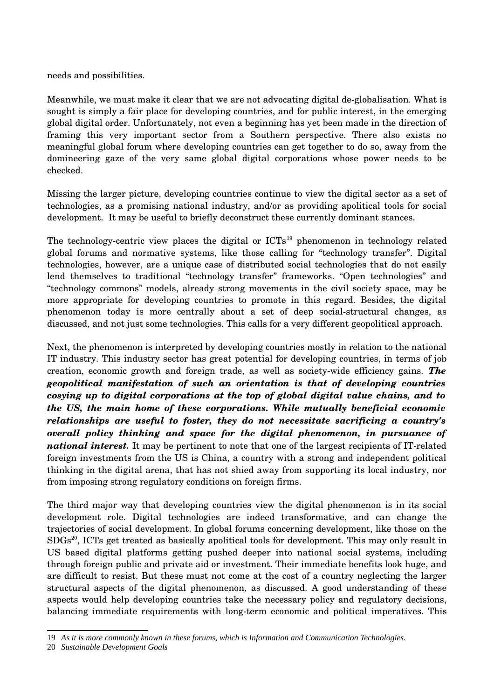needs and possibilities.

Meanwhile, we must make it clear that we are not advocating digital de-globalisation. What is sought is simply a fair place for developing countries, and for public interest, in the emerging global digital order. Unfortunately, not even a beginning has yet been made in the direction of framing this very important sector from a Southern perspective. There also exists no meaningful global forum where developing countries can get together to do so, away from the domineering gaze of the very same global digital corporations whose power needs to be checked.

Missing the larger picture, developing countries continue to view the digital sector as a set of technologies, as a promising national industry, and/or as providing apolitical tools for social development. It may be useful to briefly deconstruct these currently dominant stances.

The technology-centric view places the digital or  $\text{ICTs}^{19}$  $\text{ICTs}^{19}$  $\text{ICTs}^{19}$  phenomenon in technology related global forums and normative systems, like those calling for "technology transfer". Digital technologies, however, are a unique case of distributed social technologies that do not easily lend themselves to traditional "technology transfer" frameworks. "Open technologies" and "technology commons" models, already strong movements in the civil society space, may be more appropriate for developing countries to promote in this regard. Besides, the digital phenomenon today is more centrally about a set of deep social-structural changes, as discussed, and not just some technologies. This calls for a very different geopolitical approach.

Next, the phenomenon is interpreted by developing countries mostly in relation to the national IT industry. This industry sector has great potential for developing countries, in terms of job creation, economic growth and foreign trade, as well as society-wide efficiency gains. The *geopolitical manifestation of such an orientation is that of developing countries cosying up to digital corporations at the top of global digital value chains, and to the US, the main home of these corporations. While mutually beneficial economic relationships are useful to foster, they do not necessitate sacrificing a country's overall policy thinking and space for the digital phenomenon, in pursuance of national interest.* It may be pertinent to note that one of the largest recipients of IT-related foreign investments from the US is China, a country with a strong and independent political thinking in the digital arena, that has not shied away from supporting its local industry, nor from imposing strong regulatory conditions on foreign firms.

The third major way that developing countries view the digital phenomenon is in its social development role. Digital technologies are indeed transformative, and can change the trajectories of social development. In global forums concerning development, like those on the SDGs<sup>[20](#page-6-1)</sup>, ICTs get treated as basically apolitical tools for development. This may only result in US based digital platforms getting pushed deeper into national social systems, including through foreign public and private aid or investment. Their immediate benefits look huge, and are difficult to resist. But these must not come at the cost of a country neglecting the larger structural aspects of the digital phenomenon, as discussed. A good understanding of these aspects would help developing countries take the necessary policy and regulatory decisions, balancing immediate requirements with long-term economic and political imperatives. This

<span id="page-6-0"></span><sup>19</sup> *As it is more commonly known in these forums, which is Information and Communication Technologies.*

<span id="page-6-1"></span><sup>20</sup> *Sustainable Development Goals*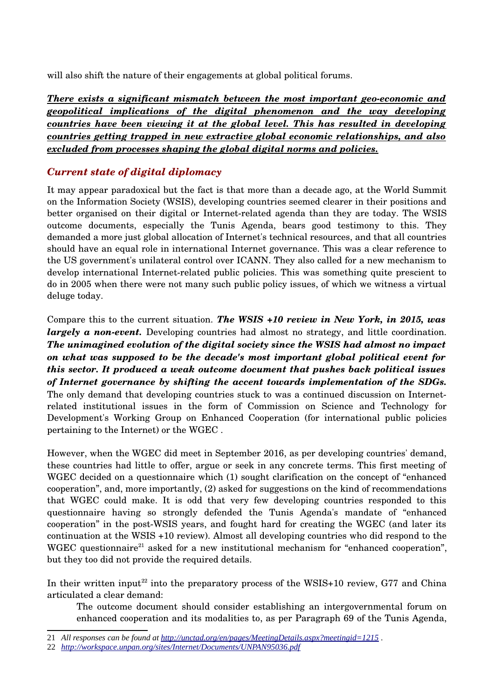will also shift the nature of their engagements at global political forums.

*There exists a significant mismatch between the most important geo-economic and geopolitical implications of the digital phenomenon and the way developing countries have been viewing it at the global level. This has resulted in developing countries getting trapped in new extractive global economic relationships, and also excluded from processes shaping the global digital norms and policies.*

## <span id="page-7-0"></span>*Current state of digital diplomacy*

It may appear paradoxical but the fact is that more than a decade ago, at the World Summit on the Information Society (WSIS), developing countries seemed clearer in their positions and better organised on their digital or Internet-related agenda than they are today. The WSIS outcome documents, especially the Tunis Agenda, bears good testimony to this. They demanded a more just global allocation of Internet's technical resources, and that all countries should have an equal role in international Internet governance. This was a clear reference to the US government's unilateral control over ICANN. They also called for a new mechanism to develop international Internet-related public policies. This was something quite prescient to do in 2005 when there were not many such public policy issues, of which we witness a virtual deluge today.

Compare this to the current situation. *The WSIS +10 review in New York, in 2015, was largely a non-event.* Developing countries had almost no strategy, and little coordination. *The unimagined evolution of the digital society since the WSIS had almost no impact on what was supposed to be the decade's most important global political event for this sector. It produced a weak outcome document that pushes back political issues of Internet governance by shifting the accent towards implementation of the SDGs.* The only demand that developing countries stuck to was a continued discussion on Internetrelated institutional issues in the form of Commission on Science and Technology for Development's Working Group on Enhanced Cooperation (for international public policies pertaining to the Internet) or the WGEC .

However, when the WGEC did meet in September 2016, as per developing countries' demand, these countries had little to offer, argue or seek in any concrete terms. This first meeting of WGEC decided on a questionnaire which (1) sought clarification on the concept of "enhanced cooperation", and, more importantly, (2) asked for suggestions on the kind of recommendations that WGEC could make. It is odd that very few developing countries responded to this questionnaire having so strongly defended the Tunis Agenda's mandate of "enhanced cooperation" in the postWSIS years, and fought hard for creating the WGEC (and later its continuation at the WSIS +10 review). Almost all developing countries who did respond to the WGEC questionnaire<sup>[21](#page-7-1)</sup> asked for a new institutional mechanism for "enhanced cooperation", but they too did not provide the required details.

In their written input<sup>[22](#page-7-2)</sup> into the preparatory process of the WSIS+10 review, G77 and China articulated a clear demand:

The outcome document should consider establishing an intergovernmental forum on enhanced cooperation and its modalities to, as per Paragraph 69 of the Tunis Agenda,

<span id="page-7-1"></span><sup>21</sup> *All responses can be found at<http://unctad.org/en/pages/MeetingDetails.aspx?meetingid=1215>.* 

<span id="page-7-2"></span><sup>22</sup> *<http://workspace.unpan.org/sites/Internet/Documents/UNPAN95036.pdf>*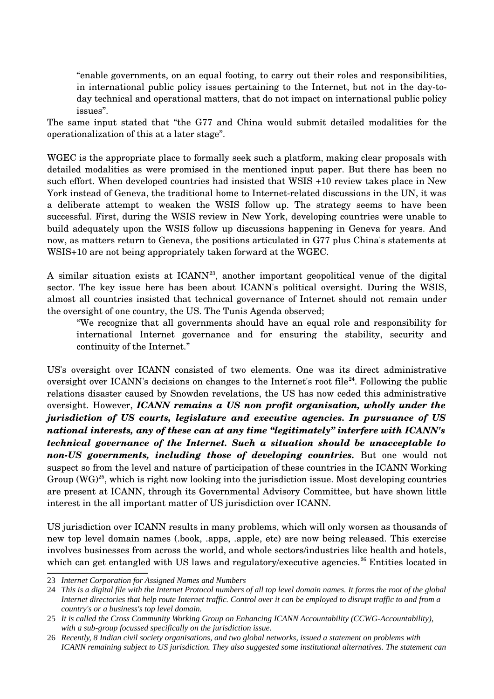"enable governments, on an equal footing, to carry out their roles and responsibilities, in international public policy issues pertaining to the Internet, but not in the daytoday technical and operational matters, that do not impact on international public policy issues".

The same input stated that "the G77 and China would submit detailed modalities for the operationalization of this at a later stage".

WGEC is the appropriate place to formally seek such a platform, making clear proposals with detailed modalities as were promised in the mentioned input paper. But there has been no such effort. When developed countries had insisted that WSIS +10 review takes place in New York instead of Geneva, the traditional home to Internet-related discussions in the UN, it was a deliberate attempt to weaken the WSIS follow up. The strategy seems to have been successful. First, during the WSIS review in New York, developing countries were unable to build adequately upon the WSIS follow up discussions happening in Geneva for years. And now, as matters return to Geneva, the positions articulated in G77 plus China's statements at WSIS+10 are not being appropriately taken forward at the WGEC.

A similar situation exists at  $ICANN<sup>23</sup>$  $ICANN<sup>23</sup>$  $ICANN<sup>23</sup>$ , another important geopolitical venue of the digital sector. The key issue here has been about ICANN's political oversight. During the WSIS, almost all countries insisted that technical governance of Internet should not remain under the oversight of one country, the US. The Tunis Agenda observed;

"We recognize that all governments should have an equal role and responsibility for international Internet governance and for ensuring the stability, security and continuity of the Internet."

US's oversight over ICANN consisted of two elements. One was its direct administrative oversight over ICANN's decisions on changes to the Internet's root file<sup>[24](#page-8-1)</sup>. Following the public relations disaster caused by Snowden revelations, the US has now ceded this administrative oversight. However, *ICANN remains a US non profit organisation, wholly under the jurisdiction of US courts, legislature and executive agencies. In pursuance of US national interests, any of these can at any time "legitimately" interfere with ICANN's technical governance of the Internet. Such a situation should be unacceptable to non-US governments, including those of developing countries.* But one would not suspect so from the level and nature of participation of these countries in the ICANN Working Group  $(WG)^{25}$  $(WG)^{25}$  $(WG)^{25}$ , which is right now looking into the jurisdiction issue. Most developing countries are present at ICANN, through its Governmental Advisory Committee, but have shown little interest in the all important matter of US jurisdiction over ICANN.

US jurisdiction over ICANN results in many problems, which will only worsen as thousands of new top level domain names (.book, .apps, .apple, etc) are now being released. This exercise involves businesses from across the world, and whole sectors/industries like health and hotels, which can get entangled with US laws and regulatory/executive agencies.<sup>[26](#page-8-3)</sup> Entities located in

<span id="page-8-0"></span><sup>23</sup> *Internet Corporation for Assigned Names and Numbers* 

<span id="page-8-1"></span><sup>24</sup> *This is a digital file with the Internet Protocol numbers of all top level domain names. It forms the root of the global Internet directories that help route Internet traffic. Control over it can be employed to disrupt traffic to and from a country's or a business's top level domain.*

<span id="page-8-2"></span><sup>25</sup> *It is called the Cross Community Working Group on Enhancing ICANN Accountability (CCWG-Accountability), with a sub-group focussed specifically on the jurisdiction issue.* 

<span id="page-8-3"></span><sup>26</sup> *Recently, 8 Indian civil society organisations, and two global networks, issued a statement on problems with ICANN remaining subject to US jurisdiction. They also suggested some institutional alternatives. The statement can*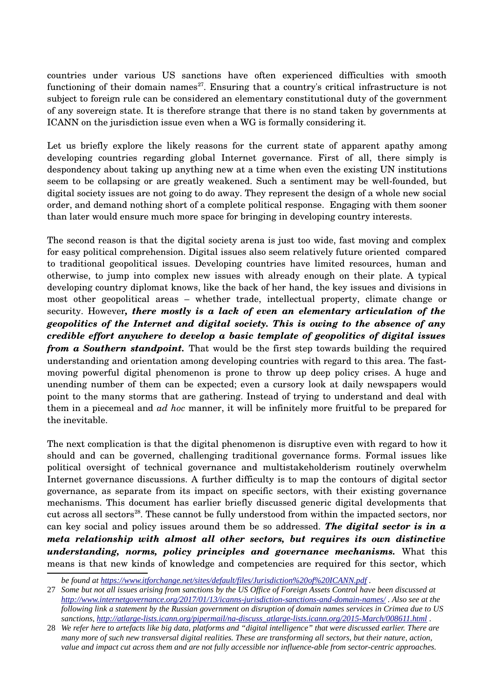countries under various US sanctions have often experienced difficulties with smooth functioning of their domain names<sup>[27](#page-9-0)</sup>. Ensuring that a country's critical infrastructure is not subject to foreign rule can be considered an elementary constitutional duty of the government of any sovereign state. It is therefore strange that there is no stand taken by governments at ICANN on the jurisdiction issue even when a WG is formally considering it.

Let us briefly explore the likely reasons for the current state of apparent apathy among developing countries regarding global Internet governance. First of all, there simply is despondency about taking up anything new at a time when even the existing UN institutions seem to be collapsing or are greatly weakened. Such a sentiment may be well-founded, but digital society issues are not going to do away. They represent the design of a whole new social order, and demand nothing short of a complete political response. Engaging with them sooner than later would ensure much more space for bringing in developing country interests.

The second reason is that the digital society arena is just too wide, fast moving and complex for easy political comprehension. Digital issues also seem relatively future oriented compared to traditional geopolitical issues. Developing countries have limited resources, human and otherwise, to jump into complex new issues with already enough on their plate. A typical developing country diplomat knows, like the back of her hand, the key issues and divisions in most other geopolitical areas – whether trade, intellectual property, climate change or security. However*, there mostly is a lack of even an elementary articulation of the geopolitics of the Internet and digital society. This is owing to the absence of any credible effort anywhere to develop a basic template of geopolitics of digital issues from a Southern standpoint*. That would be the first step towards building the required understanding and orientation among developing countries with regard to this area. The fastmoving powerful digital phenomenon is prone to throw up deep policy crises. A huge and unending number of them can be expected; even a cursory look at daily newspapers would point to the many storms that are gathering. Instead of trying to understand and deal with them in a piecemeal and *ad hoc* manner, it will be infinitely more fruitful to be prepared for the inevitable.

The next complication is that the digital phenomenon is disruptive even with regard to how it should and can be governed, challenging traditional governance forms. Formal issues like political oversight of technical governance and multistakeholderism routinely overwhelm Internet governance discussions. A further difficulty is to map the contours of digital sector governance, as separate from its impact on specific sectors, with their existing governance mechanisms. This document has earlier briefly discussed generic digital developments that cut across all sectors<sup>[28](#page-9-1)</sup>. These cannot be fully understood from within the impacted sectors, nor can key social and policy issues around them be so addressed. *The digital sector is in a meta relationship with almost all other sectors, but requires its own distinctive understanding, norms, policy principles and governance mechanisms.* What this means is that new kinds of knowledge and competencies are required for this sector, which

<span id="page-9-0"></span>*be found at<https://www.itforchange.net/sites/default/files/Jurisdiction%20of%20ICANN.pdf>.*

<sup>27</sup> *Some but not all issues arising from sanctions by the US Office of Foreign Assets Control have been discussed at <http://www.internetgovernance.org/2017/01/13/icanns-jurisdiction-sanctions-and-domain-names/>. Also see at the following link a statement by the Russian government on disruption of domain names services in Crimea due to US sanctions, [http://atlarge-lists.icann.org/pipermail/na-discuss\\_atlarge-lists.icann.org/2015-March/008611.html](http://atlarge-lists.icann.org/pipermail/na-discuss_atlarge-lists.icann.org/2015-March/008611.html) .*

<span id="page-9-1"></span><sup>28</sup> *We refer here to artefacts like big data, platforms and "digital intelligence" that were discussed earlier. There are many more of such new transversal digital realities. These are transforming all sectors, but their nature, action, value and impact cut across them and are not fully accessible nor influence-able from sector-centric approaches.*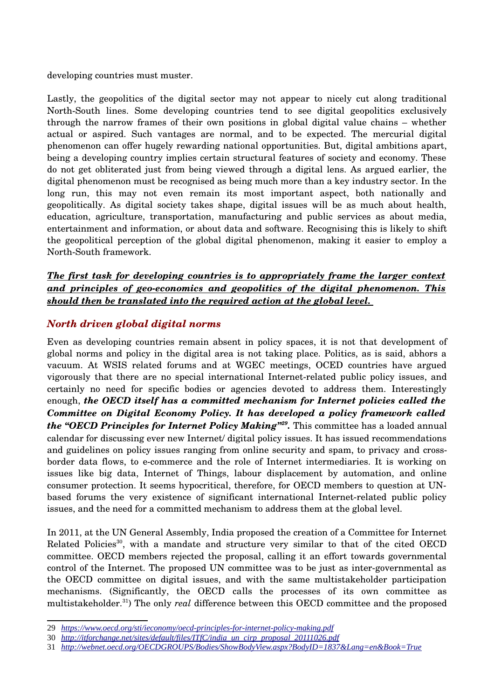developing countries must muster.

Lastly, the geopolitics of the digital sector may not appear to nicely cut along traditional North-South lines. Some developing countries tend to see digital geopolitics exclusively through the narrow frames of their own positions in global digital value chains – whether actual or aspired. Such vantages are normal, and to be expected. The mercurial digital phenomenon can offer hugely rewarding national opportunities. But, digital ambitions apart, being a developing country implies certain structural features of society and economy. These do not get obliterated just from being viewed through a digital lens. As argued earlier, the digital phenomenon must be recognised as being much more than a key industry sector. In the long run, this may not even remain its most important aspect, both nationally and geopolitically. As digital society takes shape, digital issues will be as much about health, education, agriculture, transportation, manufacturing and public services as about media, entertainment and information, or about data and software. Recognising this is likely to shift the geopolitical perception of the global digital phenomenon, making it easier to employ a North-South framework.

#### *The first task for developing countries is to appropriately frame the larger context* and principles of geo-economics and geopolitics of the digital phenomenon. This  *should then be translated into the required action at the global level.*

### <span id="page-10-0"></span>*North driven global digital norms*

Even as developing countries remain absent in policy spaces, it is not that development of global norms and policy in the digital area is not taking place. Politics, as is said, abhors a vacuum. At WSIS related forums and at WGEC meetings, OCED countries have argued vigorously that there are no special international Internet-related public policy issues, and certainly no need for specific bodies or agencies devoted to address them. Interestingly enough, *the OECD itself has a committed mechanism for Internet policies called the Committee on Digital Economy Policy. It has developed a policy framework called the "OECD Principles for Internet Policy Making"[29](#page-10-1) .* This committee has a loaded annual calendar for discussing ever new Internet/ digital policy issues. It has issued recommendations and guidelines on policy issues ranging from online security and spam, to privacy and crossborder data flows, to ecommerce and the role of Internet intermediaries. It is working on issues like big data, Internet of Things, labour displacement by automation, and online consumer protection. It seems hypocritical, therefore, for OECD members to question at UNbased forums the very existence of significant international Internet-related public policy issues, and the need for a committed mechanism to address them at the global level.

In 2011, at the UN General Assembly, India proposed the creation of a Committee for Internet Related Policies<sup>[30](#page-10-2)</sup>, with a mandate and structure very similar to that of the cited OECD committee. OECD members rejected the proposal, calling it an effort towards governmental control of the Internet. The proposed UN committee was to be just as inter-governmental as the OECD committee on digital issues, and with the same multistakeholder participation mechanisms. (Significantly, the OECD calls the processes of its own committee as multistakeholder.[31](#page-10-3)) The only *real* difference between this OECD committee and the proposed

<span id="page-10-1"></span><sup>29</sup> *<https://www.oecd.org/sti/ieconomy/oecd-principles-for-internet-policy-making.pdf>*

<span id="page-10-2"></span><sup>30</sup> *[http://itforchange.net/sites/default/files/ITfC/india\\_un\\_cirp\\_proposal\\_20111026.pdf](http://itforchange.net/sites/default/files/ITfC/india_un_cirp_proposal_20111026.pdf)*

<span id="page-10-3"></span><sup>31</sup> *<http://webnet.oecd.org/OECDGROUPS/Bodies/ShowBodyView.aspx?BodyID=1837&Lang=en&Book=True>*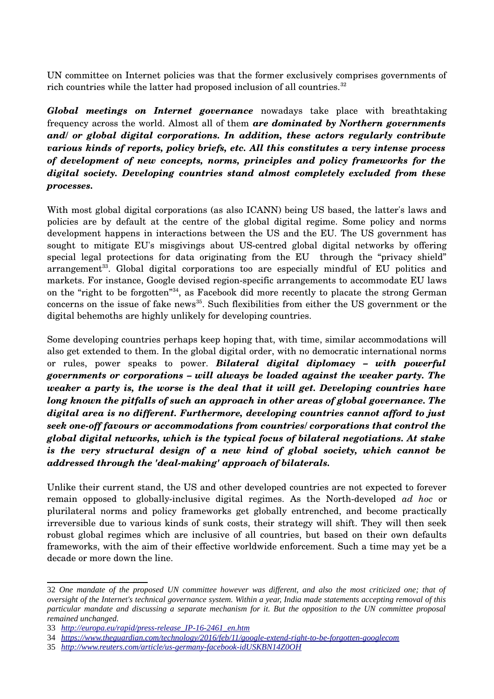UN committee on Internet policies was that the former exclusively comprises governments of rich countries while the latter had proposed inclusion of all countries. $32$ 

*Global meetings on Internet governance* nowadays take place with breathtaking frequency across the world. Almost all of them *are dominated by Northern governments and/ or global digital corporations. In addition, these actors regularly contribute various kinds of reports, policy briefs, etc. All this constitutes a very intense process of development of new concepts, norms, principles and policy frameworks for the digital society. Developing countries stand almost completely excluded from these processes.* 

With most global digital corporations (as also ICANN) being US based, the latter's laws and policies are by default at the centre of the global digital regime. Some policy and norms development happens in interactions between the US and the EU. The US government has sought to mitigate EU's misgivings about US-centred global digital networks by offering special legal protections for data originating from the EU through the "privacy shield" arrangement<sup>[33](#page-11-1)</sup>. Global digital corporations too are especially mindful of EU politics and markets. For instance, Google devised region-specific arrangements to accommodate EU laws on the "right to be forgotten"[34](#page-11-2), as Facebook did more recently to placate the strong German concerns on the issue of fake news<sup>[35](#page-11-3)</sup>. Such flexibilities from either the US government or the digital behemoths are highly unlikely for developing countries.

Some developing countries perhaps keep hoping that, with time, similar accommodations will also get extended to them. In the global digital order, with no democratic international norms or rules, power speaks to power. *Bilateral digital diplomacy – with powerful governments or corporations – will always be loaded against the weaker party. The weaker a party is, the worse is the deal that it will get. Developing countries have long known the pitfalls of such an approach in other areas of global governance. The digital area is no different. Furthermore, developing countries cannot afford to just* seek one-off favours or accommodations from countries/ corporations that control the *global digital networks, which is the typical focus of bilateral negotiations. At stake is the very structural design of a new kind of global society, which cannot be addressed through the 'dealmaking' approach of bilaterals.*

Unlike their current stand, the US and other developed countries are not expected to forever remain opposed to globally-inclusive digital regimes. As the North-developed *ad hoc* or plurilateral norms and policy frameworks get globally entrenched, and become practically irreversible due to various kinds of sunk costs, their strategy will shift. They will then seek robust global regimes which are inclusive of all countries, but based on their own defaults frameworks, with the aim of their effective worldwide enforcement. Such a time may yet be a decade or more down the line.

<span id="page-11-0"></span><sup>32</sup> *One mandate of the proposed UN committee however was different, and also the most criticized one; that of oversight of the Internet's technical governance system. Within a year, India made statements accepting removal of this particular mandate and discussing a separate mechanism for it. But the opposition to the UN committee proposal remained unchanged.*

<span id="page-11-1"></span><sup>33</sup> *[http://europa.eu/rapid/press-release\\_IP-16-2461\\_en.htm](http://europa.eu/rapid/press-release_IP-16-2461_en.htm)*

<span id="page-11-2"></span><sup>34</sup> *<https://www.theguardian.com/technology/2016/feb/11/google-extend-right-to-be-forgotten-googlecom>*

<span id="page-11-3"></span><sup>35</sup> *<http://www.reuters.com/article/us-germany-facebook-idUSKBN14Z0OH>*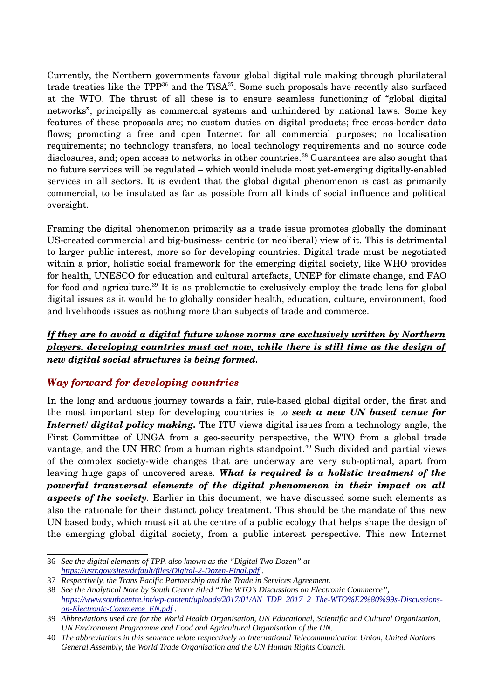Currently, the Northern governments favour global digital rule making through plurilateral trade treaties like the  $TPP^{36}$  $TPP^{36}$  $TPP^{36}$  and the TiSA $^{37}$  $^{37}$  $^{37}$ . Some such proposals have recently also surfaced at the WTO. The thrust of all these is to ensure seamless functioning of "global digital networks", principally as commercial systems and unhindered by national laws. Some key features of these proposals are; no custom duties on digital products; free crossborder data flows; promoting a free and open Internet for all commercial purposes; no localisation requirements; no technology transfers, no local technology requirements and no source code disclosures, and; open access to networks in other countries.<sup>[38](#page-12-3)</sup> Guarantees are also sought that no future services will be regulated – which would include most vet-emerging digitally-enabled services in all sectors. It is evident that the global digital phenomenon is cast as primarily commercial, to be insulated as far as possible from all kinds of social influence and political oversight.

Framing the digital phenomenon primarily as a trade issue promotes globally the dominant US-created commercial and big-business-centric (or neoliberal) view of it. This is detrimental to larger public interest, more so for developing countries. Digital trade must be negotiated within a prior, holistic social framework for the emerging digital society, like WHO provides for health, UNESCO for education and cultural artefacts, UNEP for climate change, and FAO for food and agriculture.[39](#page-12-4) It is as problematic to exclusively employ the trade lens for global digital issues as it would be to globally consider health, education, culture, environment, food and livelihoods issues as nothing more than subjects of trade and commerce.

#### *If they are to avoid a digital future whose norms are exclusively written by Northern players, developing countries must act now, while there is still time as the design of new digital social structures is being formed.*

#### <span id="page-12-0"></span>*Way forward for developing countries*

In the long and arduous journey towards a fair, rulebased global digital order, the first and the most important step for developing countries is to *seek a new UN based venue for Internet/ digital policy making.* The ITU views digital issues from a technology angle, the First Committee of UNGA from a geo-security perspective, the WTO from a global trade vantage, and the UN HRC from a human rights standpoint.<sup>[40](#page-12-5)</sup> Such divided and partial views of the complex society-wide changes that are underway are very sub-optimal, apart from leaving huge gaps of uncovered areas. *What is required is a holistic treatment of the powerful transversal elements of the digital phenomenon in their impact on all aspects of the society.* Earlier in this document, we have discussed some such elements as also the rationale for their distinct policy treatment. This should be the mandate of this new UN based body, which must sit at the centre of a public ecology that helps shape the design of the emerging global digital society, from a public interest perspective. This new Internet

<span id="page-12-1"></span><sup>36</sup> *See the digital elements of TPP, also known as the "Digital Two Dozen" at <https://ustr.gov/sites/default/files/Digital-2-Dozen-Final.pdf>.*

<span id="page-12-2"></span><sup>37</sup> *Respectively, the Trans Pacific Partnership and the Trade in Services Agreement.* 

<span id="page-12-3"></span><sup>38</sup> *See the Analytical Note by South Centre titled "The WTO's Discussions on Electronic Commerce", [https://www.southcentre.int/wp-content/uploads/2017/01/AN\\_TDP\\_2017\\_2\\_The-WTO%E2%80%99s-Discussions](https://www.southcentre.int/wp-content/uploads/2017/01/AN_TDP_2017_2_The-WTO%E2%80%99s-Discussions-on-Electronic-Commerce_EN.pdf)[on-Electronic-Commerce\\_EN.pdf](https://www.southcentre.int/wp-content/uploads/2017/01/AN_TDP_2017_2_The-WTO%E2%80%99s-Discussions-on-Electronic-Commerce_EN.pdf) .*

<span id="page-12-4"></span><sup>39</sup> *Abbreviations used are for the World Health Organisation, UN Educational, Scientific and Cultural Organisation, UN Environment Programme and Food and Agricultural Organisation of the UN.* 

<span id="page-12-5"></span><sup>40</sup> *The abbreviations in this sentence relate respectively to International Telecommunication Union, United Nations General Assembly, the World Trade Organisation and the UN Human Rights Council.*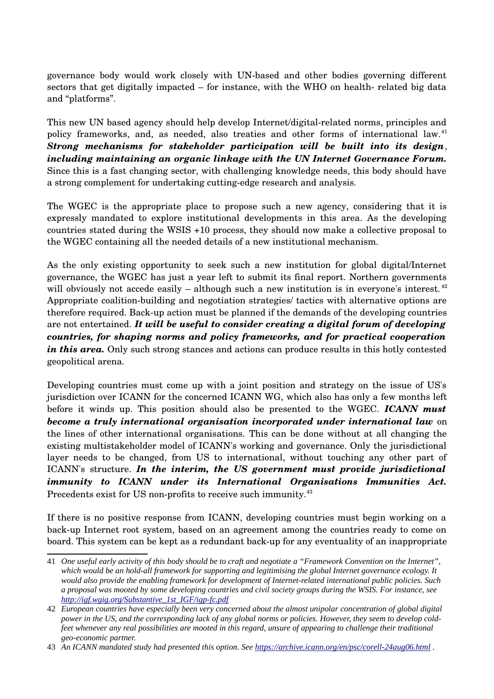governance body would work closely with UN-based and other bodies governing different sectors that get digitally impacted  $-$  for instance, with the WHO on health-related big data and "platforms".

This new UN based agency should help develop Internet/digital-related norms, principles and policy frameworks, and, as needed, also treaties and other forms of international law.<sup>[41](#page-13-0)</sup> *Strong mechanisms for stakeholder participation will be built into its design*, *including maintaining an organic linkage with the UN Internet Governance Forum.* Since this is a fast changing sector, with challenging knowledge needs, this body should have a strong complement for undertaking cuttingedge research and analysis.

The WGEC is the appropriate place to propose such a new agency, considering that it is expressly mandated to explore institutional developments in this area. As the developing countries stated during the WSIS +10 process, they should now make a collective proposal to the WGEC containing all the needed details of a new institutional mechanism.

As the only existing opportunity to seek such a new institution for global digital/Internet governance, the WGEC has just a year left to submit its final report. Northern governments will obviously not accede easily – although such a new institution is in everyone's interest.<sup>[42](#page-13-1)</sup> Appropriate coalition-building and negotiation strategies/ tactics with alternative options are therefore required. Back-up action must be planned if the demands of the developing countries are not entertained. *It will be useful to consider creating a digital forum of developing countries, for shaping norms and policy frameworks, and for practical cooperation* in this area. Only such strong stances and actions can produce results in this hotly contested geopolitical arena.

Developing countries must come up with a joint position and strategy on the issue of US's jurisdiction over ICANN for the concerned ICANN WG, which also has only a few months left before it winds up. This position should also be presented to the WGEC. *ICANN must become a truly international organisation incorporated under international law* on the lines of other international organisations. This can be done without at all changing the existing multistakeholder model of ICANN's working and governance. Only the jurisdictional layer needs to be changed, from US to international, without touching any other part of ICANN's structure. *In the interim, the US government must provide jurisdictional immunity to ICANN under its International Organisations Immunities Act.* Precedents exist for US non-profits to receive such immunity.<sup>[43](#page-13-2)</sup>

If there is no positive response from ICANN, developing countries must begin working on a back-up Internet root system, based on an agreement among the countries ready to come on board. This system can be kept as a redundant back-up for any eventuality of an inappropriate

<span id="page-13-0"></span><sup>41</sup> *One useful early activity of this body should be to craft and negotiate a "Framework Convention on the Internet", which would be an hold-all framework for supporting and legitimising the global Internet governance ecology. It would also provide the enabling framework for development of Internet-related international public policies. Such a proposal was mooted by some developing countries and civil society groups during the WSIS. For instance, see [http://igf.wgig.org/Substantive\\_1st\\_IGF/igp-fc.pdf](http://igf.wgig.org/Substantive_1st_IGF/igp-fc.pdf)*

<span id="page-13-1"></span><sup>42</sup> *European countries have especially been very concerned about the almost unipolar concentration of global digital power in the US, and the corresponding lack of any global norms or policies. However, they seem to develop coldfeet whenever any real possibilities are mooted in this regard, unsure of appearing to challenge their traditional geo-economic partner.*

<span id="page-13-2"></span><sup>43</sup> *An ICANN mandated study had presented this option. See<https://archive.icann.org/en/psc/corell-24aug06.html>.*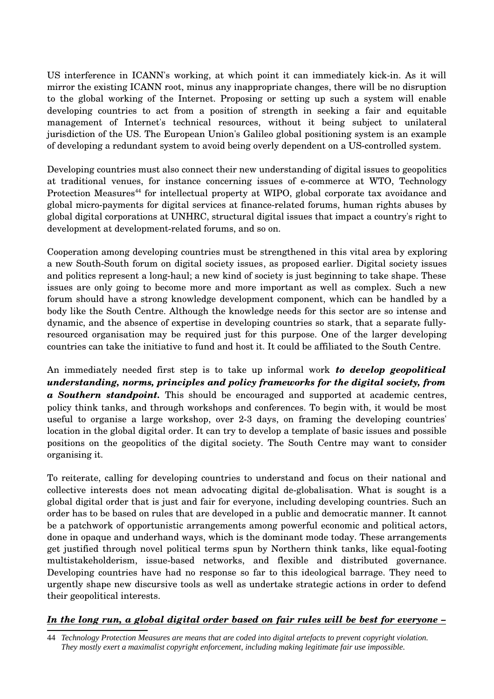US interference in ICANN's working, at which point it can immediately kick-in. As it will mirror the existing ICANN root, minus any inappropriate changes, there will be no disruption to the global working of the Internet. Proposing or setting up such a system will enable developing countries to act from a position of strength in seeking a fair and equitable management of Internet's technical resources, without it being subject to unilateral jurisdiction of the US. The European Union's Galileo global positioning system is an example of developing a redundant system to avoid being overly dependent on a UScontrolled system.

Developing countries must also connect their new understanding of digital issues to geopolitics at traditional venues, for instance concerning issues of e-commerce at WTO, Technology Protection Measures<sup>[44](#page-14-0)</sup> for intellectual property at WIPO, global corporate tax avoidance and global micro-payments for digital services at finance-related forums, human rights abuses by global digital corporations at UNHRC, structural digital issues that impact a country's right to development at development-related forums, and so on.

Cooperation among developing countries must be strengthened in this vital area by exploring a new South-South forum on digital society issues, as proposed earlier. Digital society issues and politics represent a long-haul; a new kind of society is just beginning to take shape. These issues are only going to become more and more important as well as complex. Such a new forum should have a strong knowledge development component, which can be handled by a body like the South Centre. Although the knowledge needs for this sector are so intense and dynamic, and the absence of expertise in developing countries so stark, that a separate fullyresourced organisation may be required just for this purpose. One of the larger developing countries can take the initiative to fund and host it. It could be affiliated to the South Centre.

An immediately needed first step is to take up informal work *to develop geopolitical understanding, norms, principles and policy frameworks for the digital society, from a Southern standpoint.* This should be encouraged and supported at academic centres, policy think tanks, and through workshops and conferences. To begin with, it would be most useful to organise a large workshop, over 23 days, on framing the developing countries' location in the global digital order. It can try to develop a template of basic issues and possible positions on the geopolitics of the digital society. The South Centre may want to consider organising it.

To reiterate, calling for developing countries to understand and focus on their national and collective interests does not mean advocating digital deglobalisation. What is sought is a global digital order that is just and fair for everyone, including developing countries. Such an order has to be based on rules that are developed in a public and democratic manner. It cannot be a patchwork of opportunistic arrangements among powerful economic and political actors, done in opaque and underhand ways, which is the dominant mode today. These arrangements get justified through novel political terms spun by Northern think tanks, like equalfooting multistakeholderism, issue-based networks, and flexible and distributed governance. Developing countries have had no response so far to this ideological barrage. They need to urgently shape new discursive tools as well as undertake strategic actions in order to defend their geopolitical interests.

#### In the long run, a global digital order based on fair rules will be best for everyone -

<span id="page-14-0"></span>44 *Technology Protection Measures are means that are coded into digital artefacts to prevent copyright violation. They mostly exert a maximalist copyright enforcement, including making legitimate fair use impossible.*